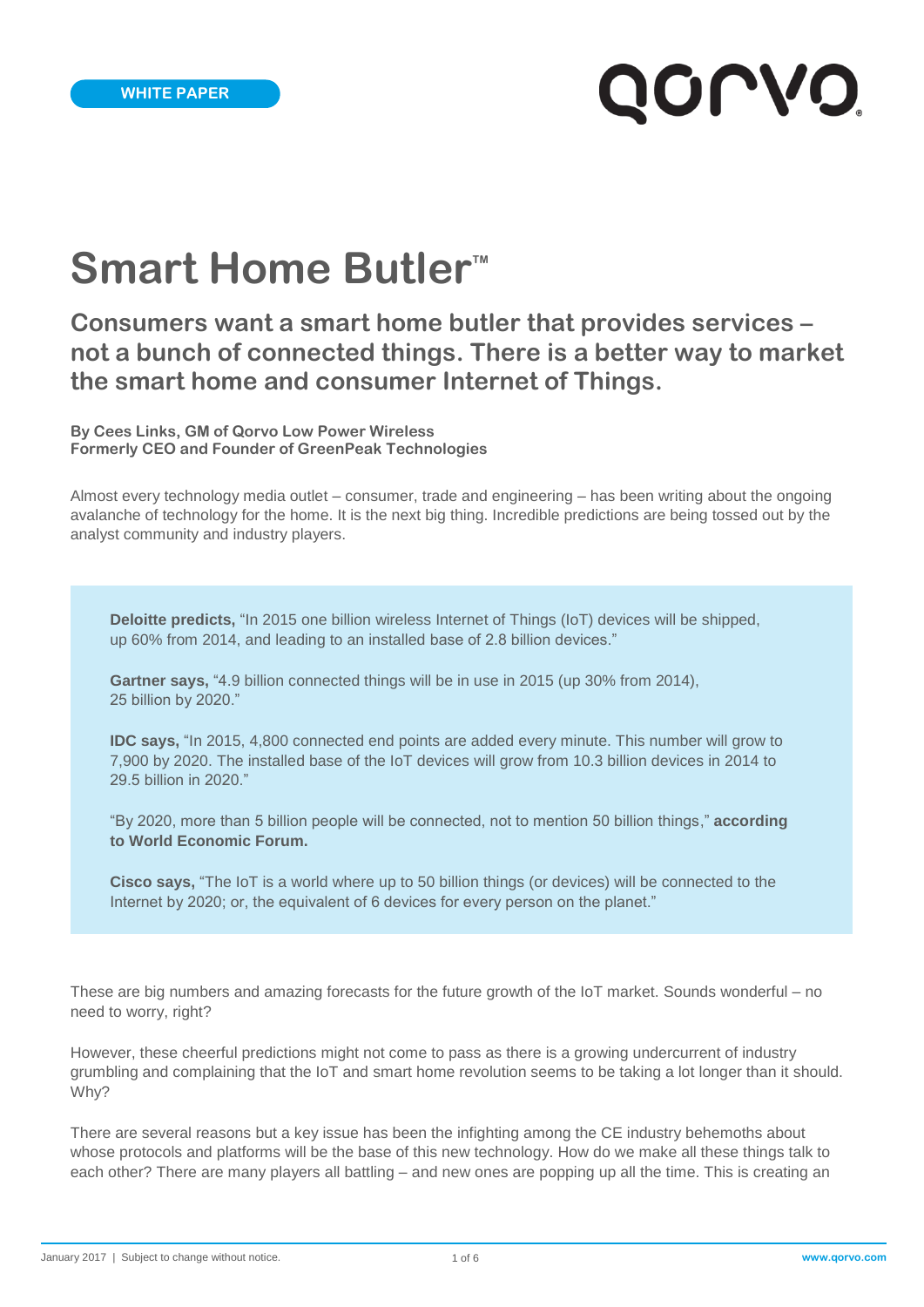# **OLA**

## **Smart Home Butler**<sup>™</sup>

### **Consumers want a smart home butler that provides services – not a bunch of connected things. There is a better way to market the smart home and consumer Internet of Things.**

**By Cees Links, GM of Qorvo Low Power Wireless Formerly CEO and Founder of GreenPeak Technologies**

Almost every technology media outlet – consumer, trade and engineering – has been writing about the ongoing avalanche of technology for the home. It is the next big thing. Incredible predictions are being tossed out by the analyst community and industry players.

**Deloitte predicts,** "In 2015 one billion wireless Internet of Things (IoT) devices will be shipped, up 60% from 2014, and leading to an installed base of 2.8 billion devices."

**Gartner says,** "4.9 billion connected things will be in use in 2015 (up 30% from 2014), 25 billion by 2020."

**IDC says,** "In 2015, 4,800 connected end points are added every minute. This number will grow to 7,900 by 2020. The installed base of the IoT devices will grow from 10.3 billion devices in 2014 to 29.5 billion in 2020."

"By 2020, more than 5 billion people will be connected, not to mention 50 billion things," **according to World Economic Forum.**

**Cisco says,** "The IoT is a world where up to 50 billion things (or devices) will be connected to the Internet by 2020; or, the equivalent of 6 devices for every person on the planet."

These are big numbers and amazing forecasts for the future growth of the IoT market. Sounds wonderful – no need to worry, right?

However, these cheerful predictions might not come to pass as there is a growing undercurrent of industry grumbling and complaining that the IoT and smart home revolution seems to be taking a lot longer than it should. Why?

There are several reasons but a key issue has been the infighting among the CE industry behemoths about whose protocols and platforms will be the base of this new technology. How do we make all these things talk to each other? There are many players all battling – and new ones are popping up all the time. This is creating an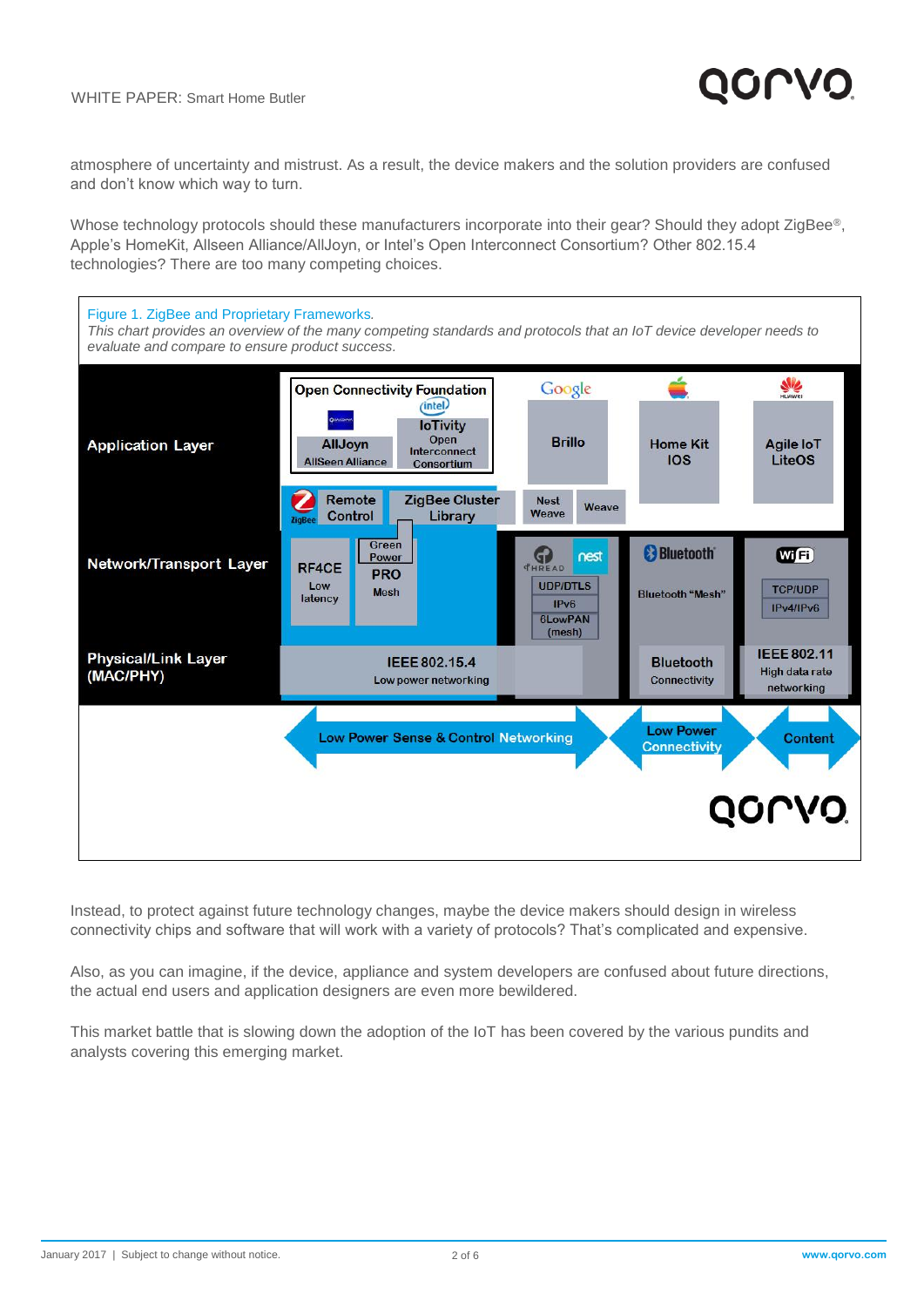

atmosphere of uncertainty and mistrust. As a result, the device makers and the solution providers are confused and don't know which way to turn.

Whose technology protocols should these manufacturers incorporate into their gear? Should they adopt ZigBee®, Apple's HomeKit, Allseen Alliance/AllJoyn, or Intel's Open Interconnect Consortium? Other 802.15.4 technologies? There are too many competing choices.



Instead, to protect against future technology changes, maybe the device makers should design in wireless connectivity chips and software that will work with a variety of protocols? That's complicated and expensive.

Also, as you can imagine, if the device, appliance and system developers are confused about future directions, the actual end users and application designers are even more bewildered.

This market battle that is slowing down the adoption of the IoT has been covered by the various pundits and analysts covering this emerging market.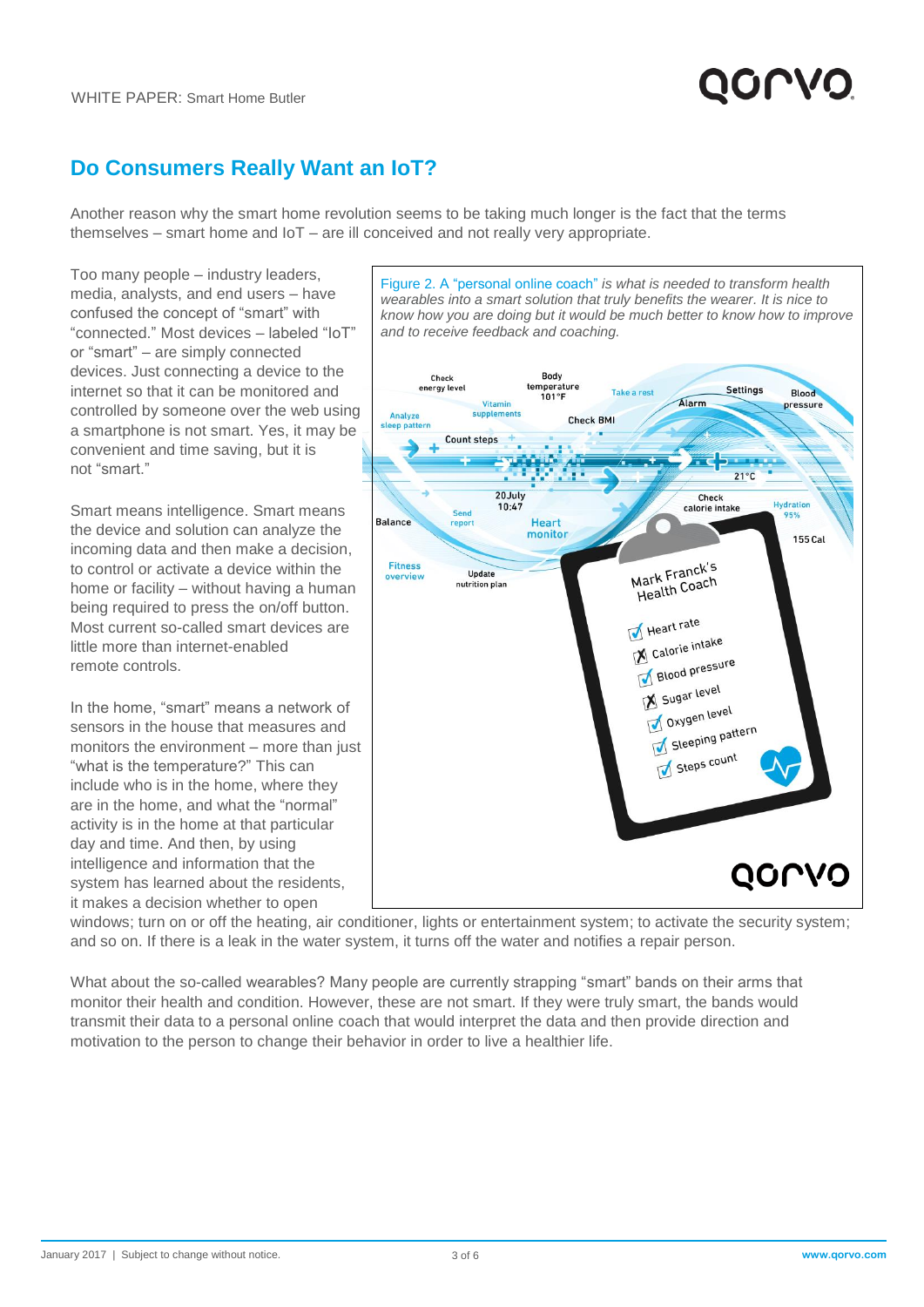

#### **Do Consumers Really Want an IoT?**

Another reason why the smart home revolution seems to be taking much longer is the fact that the terms themselves – smart home and IoT – are ill conceived and not really very appropriate.

Too many people – industry leaders, media, analysts, and end users – have confused the concept of "smart" with "connected." Most devices – labeled "IoT" or "smart" – are simply connected devices. Just connecting a device to the internet so that it can be monitored and controlled by someone over the web using a smartphone is not smart. Yes, it may be convenient and time saving, but it is not "smart."

Smart means intelligence. Smart means the device and solution can analyze the incoming data and then make a decision, to control or activate a device within the home or facility – without having a human being required to press the on/off button. Most current so-called smart devices are little more than internet-enabled remote controls.

In the home, "smart" means a network of sensors in the house that measures and monitors the environment – more than just "what is the temperature?" This can include who is in the home, where they are in the home, and what the "normal" activity is in the home at that particular day and time. And then, by using intelligence and information that the system has learned about the residents, it makes a decision whether to open



Figure 2. A "personal online coach" *is what is needed to transform health* 

windows; turn on or off the heating, air conditioner, lights or entertainment system; to activate the security system; and so on. If there is a leak in the water system, it turns off the water and notifies a repair person.

What about the so-called wearables? Many people are currently strapping "smart" bands on their arms that monitor their health and condition. However, these are not smart. If they were truly smart, the bands would transmit their data to a personal online coach that would interpret the data and then provide direction and motivation to the person to change their behavior in order to live a healthier life.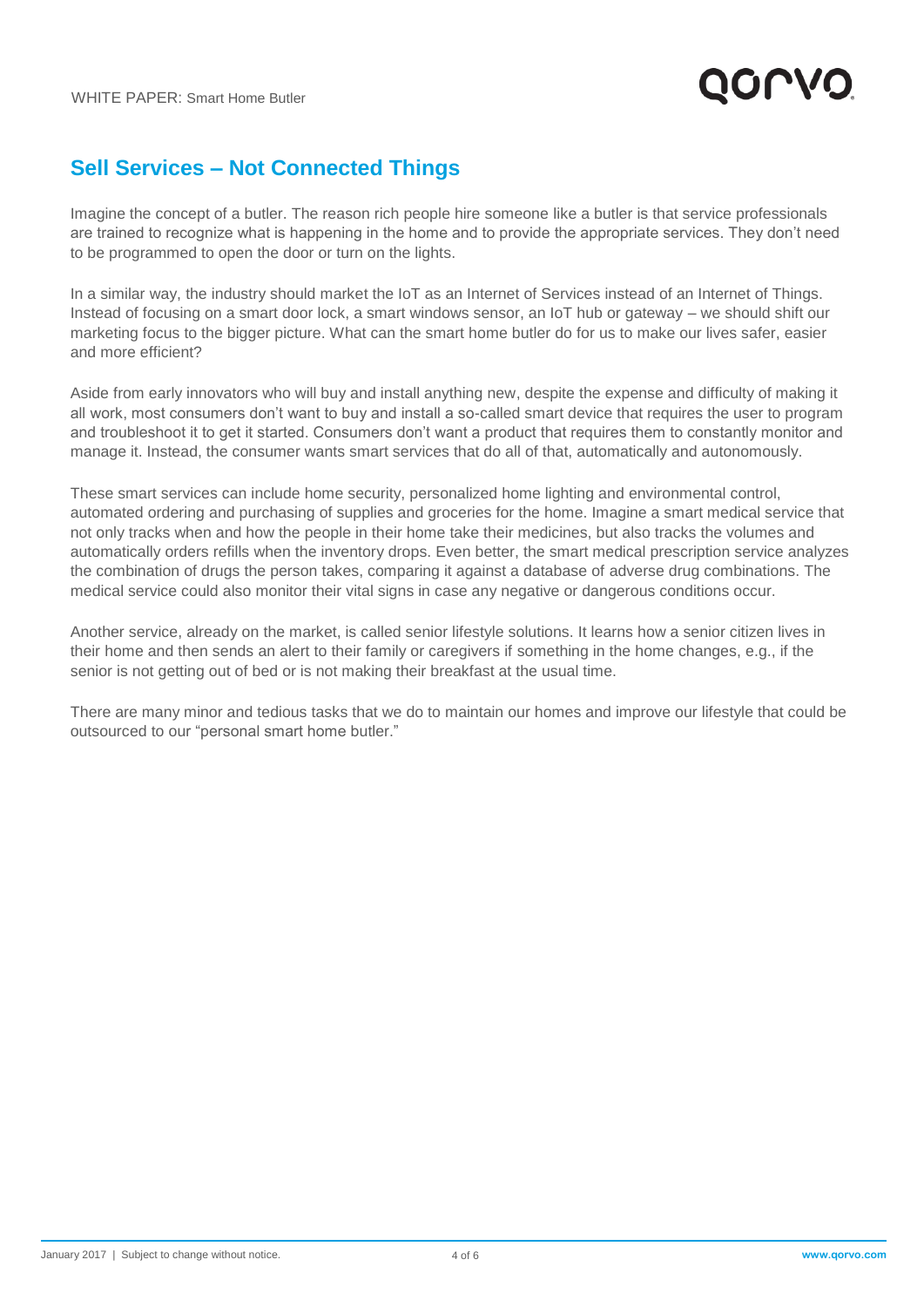

#### **Sell Services – Not Connected Things**

Imagine the concept of a butler. The reason rich people hire someone like a butler is that service professionals are trained to recognize what is happening in the home and to provide the appropriate services. They don't need to be programmed to open the door or turn on the lights.

In a similar way, the industry should market the IoT as an Internet of Services instead of an Internet of Things. Instead of focusing on a smart door lock, a smart windows sensor, an IoT hub or gateway – we should shift our marketing focus to the bigger picture. What can the smart home butler do for us to make our lives safer, easier and more efficient?

Aside from early innovators who will buy and install anything new, despite the expense and difficulty of making it all work, most consumers don't want to buy and install a so-called smart device that requires the user to program and troubleshoot it to get it started. Consumers don't want a product that requires them to constantly monitor and manage it. Instead, the consumer wants smart services that do all of that, automatically and autonomously.

These smart services can include home security, personalized home lighting and environmental control, automated ordering and purchasing of supplies and groceries for the home. Imagine a smart medical service that not only tracks when and how the people in their home take their medicines, but also tracks the volumes and automatically orders refills when the inventory drops. Even better, the smart medical prescription service analyzes the combination of drugs the person takes, comparing it against a database of adverse drug combinations. The medical service could also monitor their vital signs in case any negative or dangerous conditions occur.

Another service, already on the market, is called senior lifestyle solutions. It learns how a senior citizen lives in their home and then sends an alert to their family or caregivers if something in the home changes, e.g., if the senior is not getting out of bed or is not making their breakfast at the usual time.

There are many minor and tedious tasks that we do to maintain our homes and improve our lifestyle that could be outsourced to our "personal smart home butler."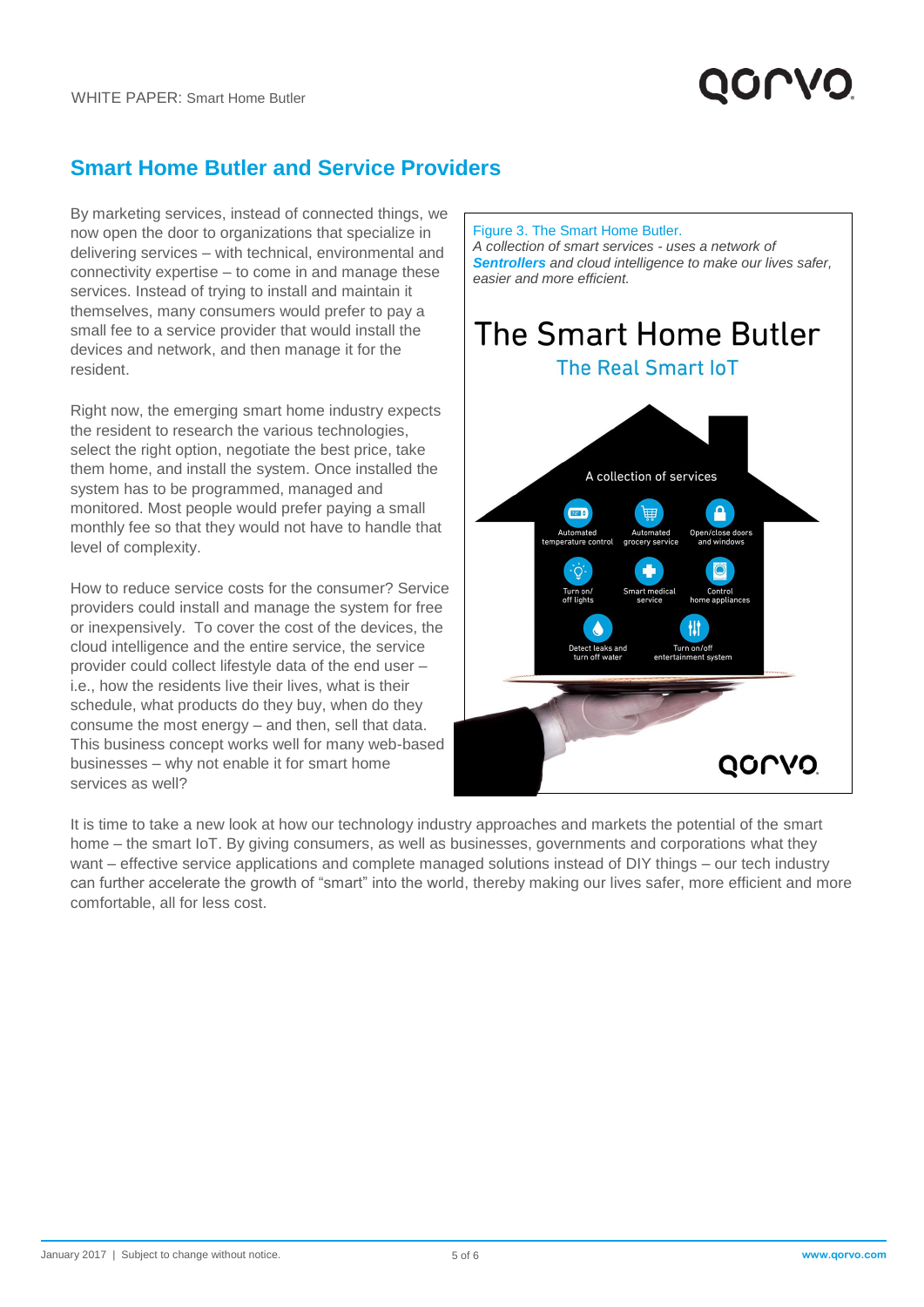### **Smart Home Butler and Service Providers**

By marketing services, instead of connected things, we now open the door to organizations that specialize in delivering services – with technical, environmental and connectivity expertise – to come in and manage these services. Instead of trying to install and maintain it themselves, many consumers would prefer to pay a small fee to a service provider that would install the devices and network, and then manage it for the resident.

Right now, the emerging smart home industry expects the resident to research the various technologies, select the right option, negotiate the best price, take them home, and install the system. Once installed the system has to be programmed, managed and monitored. Most people would prefer paying a small monthly fee so that they would not have to handle that level of complexity.

How to reduce service costs for the consumer? Service providers could install and manage the system for free or inexpensively. To cover the cost of the devices, the cloud intelligence and the entire service, the service provider could collect lifestyle data of the end user – i.e., how the residents live their lives, what is their schedule, what products do they buy, when do they consume the most energy – and then, sell that data. This business concept works well for many web-based businesses – why not enable it for smart home services as well?



It is time to take a new look at how our technology industry approaches and markets the potential of the smart home – the smart IoT. By giving consumers, as well as businesses, governments and corporations what they want – effective service applications and complete managed solutions instead of DIY things – our tech industry can further accelerate the growth of "smart" into the world, thereby making our lives safer, more efficient and more comfortable, all for less cost.